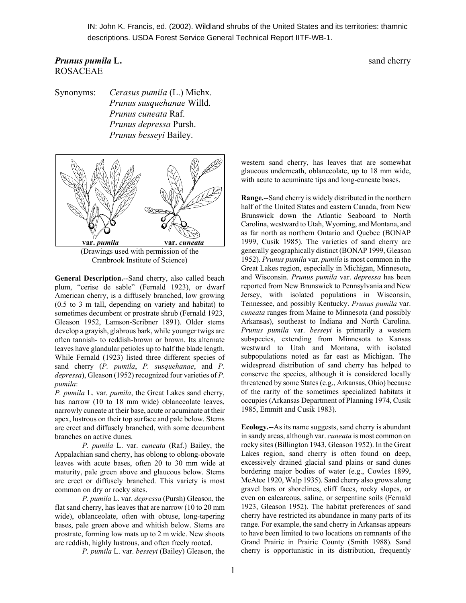IN: John K. Francis, ed. (2002). Wildland shrubs of the United States and its territories: thamnic descriptions. USDA Forest Service General Technical Report IITF-WB-1.

*Prunus pumila* **L.** sand cherry ROSACEAE

Synonyms: *Cerasus pumila* (L.) Michx.  *Prunus susquehanae* Willd.  *Prunus cuneata* Raf.  *Prunus depressa* Pursh.  *Prunus besseyi* Bailey.



Cranbrook Institute of Science)

**General Description.**--Sand cherry, also called beach plum, "cerise de sable" (Fernald 1923), or dwarf American cherry, is a diffusely branched, low growing (0.5 to 3 m tall, depending on variety and habitat) to sometimes decumbent or prostrate shrub (Fernald 1923, Gleason 1952, Lamson-Scribner 1891). Older stems develop a grayish, glabrous bark, while younger twigs are often tannish- to reddish-brown or brown. Its alternate leaves have glandular petioles up to half the blade length. While Fernald (1923) listed three different species of sand cherry (*P. pumila*, *P. susquehanae*, and *P. depressa*), Gleason (1952) recognized four varieties of *P. pumila*:

*P. pumila* L. var. *pumila*, the Great Lakes sand cherry, has narrow (10 to 18 mm wide) oblanceolate leaves, narrowly cuneate at their base, acute or acuminate at their apex, lustrous on their top surface and pale below. Stems are erect and diffusely branched, with some decumbent branches on active dunes.

 *P. pumila* L. var. *cuneata* (Raf.) Bailey, the Appalachian sand cherry, has oblong to oblong-obovate leaves with acute bases, often 20 to 30 mm wide at maturity, pale green above and glaucous below. Stems are erect or diffusely branched. This variety is most common on dry or rocky sites.

 *P. pumila* L. var. *depressa* (Pursh) Gleason, the flat sand cherry, has leaves that are narrow (10 to 20 mm wide), oblanceolate, often with obtuse, long-tapering bases, pale green above and whitish below. Stems are prostrate, forming low mats up to 2 m wide. New shoots are reddish, highly lustrous, and often freely rooted.

 *P. pumila* L. var. *besseyi* (Bailey) Gleason, the

western sand cherry, has leaves that are somewhat glaucous underneath, oblanceolate, up to 18 mm wide, with acute to acuminate tips and long-cuneate bases.

**Range.**--Sand cherry is widely distributed in the northern half of the United States and eastern Canada, from New Brunswick down the Atlantic Seaboard to North Carolina, westward to Utah, Wyoming, and Montana, and as far north as northern Ontario and Quebec (BONAP 1999, Cusik 1985). The varieties of sand cherry are generally geographically distinct (BONAP 1999, Gleason 1952). *Prunus pumila* var. *pumila* is most common in the Great Lakes region, especially in Michigan, Minnesota, and Wisconsin. *Prunus pumila* var. *depressa* has been reported from New Brunswick to Pennsylvania and New Jersey, with isolated populations in Wisconsin, Tennessee, and possibly Kentucky. *Prunus pumila* var. *cuneata* ranges from Maine to Minnesota (and possibly Arkansas), southeast to Indiana and North Carolina. *Prunus pumila* var. *besseyi* is primarily a western subspecies, extending from Minnesota to Kansas westward to Utah and Montana, with isolated subpopulations noted as far east as Michigan. The widespread distribution of sand cherry has helped to conserve the species, although it is considered locally threatened by some States (e.g., Arkansas, Ohio) because of the rarity of the sometimes specialized habitats it occupies (Arkansas Department of Planning 1974, Cusik 1985, Emmitt and Cusik 1983).

**Ecology.--**As its name suggests, sand cherry is abundant in sandy areas, although var. *cuneata* is most common on rocky sites (Billington 1943, Gleason 1952). In the Great Lakes region, sand cherry is often found on deep, excessively drained glacial sand plains or sand dunes bordering major bodies of water (e.g., Cowles 1899, McAtee 1920, Walp 1935). Sand cherry also grows along gravel bars or shorelines, cliff faces, rocky slopes, or even on calcareous, saline, or serpentine soils (Fernald 1923, Gleason 1952). The habitat preferences of sand cherry have restricted its abundance in many parts of its range. For example, the sand cherry in Arkansas appears to have been limited to two locations on remnants of the Grand Prairie in Prairie County (Smith 1988). Sand cherry is opportunistic in its distribution, frequently

1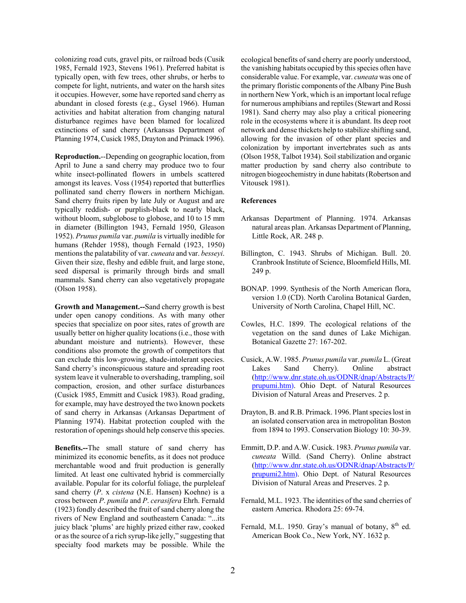colonizing road cuts, gravel pits, or railroad beds (Cusik 1985, Fernald 1923, Stevens 1961). Preferred habitat is typically open, with few trees, other shrubs, or herbs to compete for light, nutrients, and water on the harsh sites it occupies. However, some have reported sand cherry as abundant in closed forests (e.g., Gysel 1966). Human activities and habitat alteration from changing natural disturbance regimes have been blamed for localized extinctions of sand cherry (Arkansas Department of Planning 1974, Cusick 1985, Drayton and Primack 1996).

**Reproduction.**--Depending on geographic location, from April to June a sand cherry may produce two to four white insect-pollinated flowers in umbels scattered amongst its leaves. Voss (1954) reported that butterflies pollinated sand cherry flowers in northern Michigan. Sand cherry fruits ripen by late July or August and are typically reddish- or purplish-black to nearly black, without bloom, subglobose to globose, and 10 to 15 mm in diameter (Billington 1943, Fernald 1950, Gleason 1952). *Prunus pumila* var. *pumila* is virtually inedible for humans (Rehder 1958), though Fernald (1923, 1950) mentions the palatability of var. *cuneata* and var. *besseyi*. Given their size, fleshy and edible fruit, and large stone, seed dispersal is primarily through birds and small mammals. Sand cherry can also vegetatively propagate (Olson 1958).

**Growth and Management.--**Sand cherry growth is best under open canopy conditions. As with many other species that specialize on poor sites, rates of growth are usually better on higher quality locations (i.e., those with abundant moisture and nutrients). However, these conditions also promote the growth of competitors that can exclude this low-growing, shade-intolerant species. Sand cherry's inconspicuous stature and spreading root system leave it vulnerable to overshading, trampling, soil compaction, erosion, and other surface disturbances (Cusick 1985, Emmitt and Cusick 1983). Road grading, for example, may have destroyed the two known pockets of sand cherry in Arkansas (Arkansas Department of Planning 1974). Habitat protection coupled with the restoration of openings should help conserve this species.

**Benefits.--**The small stature of sand cherry has minimized its economic benefits, as it does not produce merchantable wood and fruit production is generally limited. At least one cultivated hybrid is commercially available. Popular for its colorful foliage, the purpleleaf sand cherry (*P*. x *cistena* (N.E. Hansen) Koehne) is a cross between *P*. *pumila* and *P*. *cerasifera* Ehrh. Fernald (1923) fondly described the fruit of sand cherry along the rivers of New England and southeastern Canada: "...its juicy black 'plums' are highly prized either raw, cooked or as the source of a rich syrup-like jelly," suggesting that specialty food markets may be possible. While the

ecological benefits of sand cherry are poorly understood, the vanishing habitats occupied by this species often have considerable value. For example, var. *cuneata* was one of the primary floristic components of the Albany Pine Bush in northern New York, which is an important local refuge for numerous amphibians and reptiles (Stewart and Rossi 1981). Sand cherry may also play a critical pioneering role in the ecosystems where it is abundant. Its deep root network and dense thickets help to stabilize shifting sand, allowing for the invasion of other plant species and colonization by important invertebrates such as ants (Olson 1958, Talbot 1934). Soil stabilization and organic matter production by sand cherry also contribute to nitrogen biogeochemistry in dune habitats(Robertson and Vitousek 1981).

## **References**

- Arkansas Department of Planning. 1974. Arkansas natural areas plan. Arkansas Department of Planning, Little Rock, AR. 248 p.
- Billington, C. 1943. Shrubs of Michigan. Bull. 20. Cranbrook Institute of Science, Bloomfield Hills, MI. 249 p.
- BONAP. 1999. Synthesis of the North American flora, version 1.0 (CD). North Carolina Botanical Garden, University of North Carolina, Chapel Hill, NC.
- Cowles, H.C. 1899. The ecological relations of the vegetation on the sand dunes of Lake Michigan. Botanical Gazette 27: 167-202.
- Cusick, A.W. 1985. *Prunus pumila* var. *pumila* L. (Great Lakes Sand Cherry). Online abstract (http://www.dnr.state.oh.us/ODNR/dnap/Abstracts/P/ prupumi.htm). Ohio Dept. of Natural Resources Division of Natural Areas and Preserves. 2 p.
- Drayton, B. and R.B. Primack. 1996. Plant species lost in an isolated conservation area in metropolitan Boston from 1894 to 1993. Conservation Biology 10: 30-39.
- Emmitt, D.P. and A.W. Cusick. 1983. *Prunus pumila* var. *cuneata* Willd. (Sand Cherry). Online abstract (http://www.dnr.state.oh.us/ODNR/dnap/Abstracts/P/ prupumi2.htm). Ohio Dept. of Natural Resources Division of Natural Areas and Preserves. 2 p.
- Fernald, M.L. 1923. The identities of the sand cherries of eastern America. Rhodora 25: 69-74.
- Fernald, M.L. 1950. Gray's manual of botany,  $8<sup>th</sup>$  ed. American Book Co., New York, NY. 1632 p.